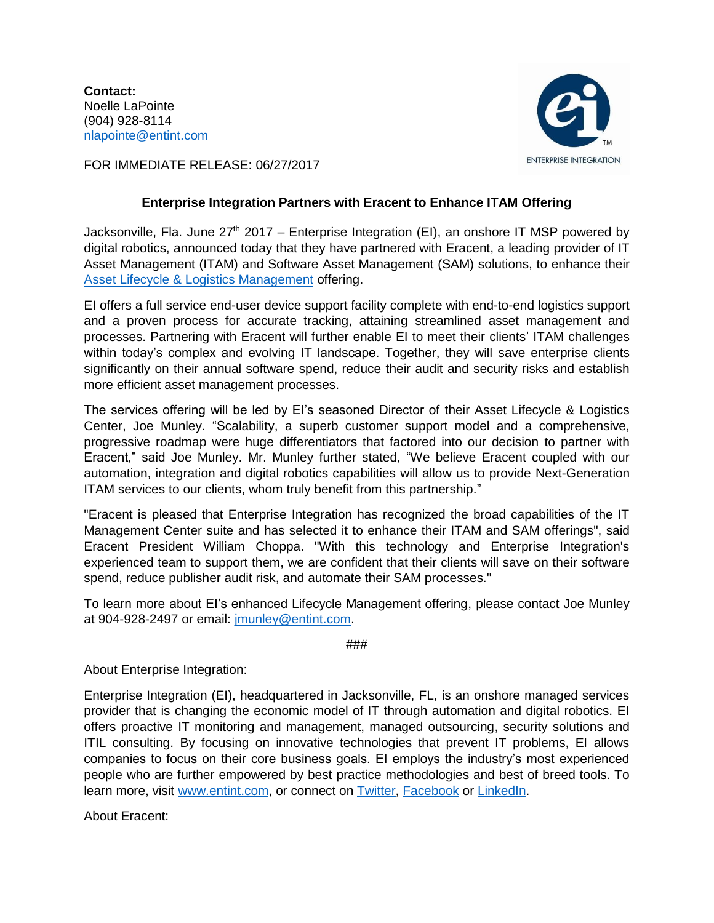**Contact:** Noelle LaPointe (904) 928-8114 [nlapointe@entint.com](mailto:nlapointe@entint.com)



FOR IMMEDIATE RELEASE: 06/27/2017

## **Enterprise Integration Partners with Eracent to Enhance ITAM Offering**

Jacksonville, Fla. June  $27<sup>th</sup> 2017$  – Enterprise Integration (EI), an onshore IT MSP powered by digital robotics, announced today that they have partnered with Eracent, a leading provider of IT Asset Management (ITAM) and Software Asset Management (SAM) solutions, to enhance their [Asset Lifecycle & Logistics Management](http://entint.com/services-solutions/lifecycle-management/) offering.

EI offers a full service end-user device support facility complete with end-to-end logistics support and a proven process for accurate tracking, attaining streamlined asset management and processes. Partnering with Eracent will further enable EI to meet their clients' ITAM challenges within today's complex and evolving IT landscape. Together, they will save enterprise clients significantly on their annual software spend, reduce their audit and security risks and establish more efficient asset management processes.

The services offering will be led by EI's seasoned Director of their Asset Lifecycle & Logistics Center, Joe Munley. "Scalability, a superb customer support model and a comprehensive, progressive roadmap were huge differentiators that factored into our decision to partner with Eracent," said Joe Munley. Mr. Munley further stated, "We believe Eracent coupled with our automation, integration and digital robotics capabilities will allow us to provide Next-Generation ITAM services to our clients, whom truly benefit from this partnership."

"Eracent is pleased that Enterprise Integration has recognized the broad capabilities of the IT Management Center suite and has selected it to enhance their ITAM and SAM offerings", said Eracent President William Choppa. "With this technology and Enterprise Integration's experienced team to support them, we are confident that their clients will save on their software spend, reduce publisher audit risk, and automate their SAM processes."

To learn more about EI's enhanced Lifecycle Management offering, please contact Joe Munley at 904-928-2497 or email: [jmunley@entint.com.](mailto:jmunley@entint.com)

###

About Enterprise Integration:

Enterprise Integration (EI), headquartered in Jacksonville, FL, is an onshore managed services provider that is changing the economic model of IT through automation and digital robotics. EI offers proactive IT monitoring and management, managed outsourcing, security solutions and ITIL consulting. By focusing on innovative technologies that prevent IT problems, EI allows companies to focus on their core business goals. EI employs the industry's most experienced people who are further empowered by best practice methodologies and best of breed tools. To learn more, visit [www.entint.com,](http://www.entint.com/) or connect on [Twitter,](https://twitter.com/entint) [Facebook](https://www.facebook.com/enterpriseintegration/) or [LinkedIn.](https://www.linkedin.com/company/enterprise-integration)

About Eracent: